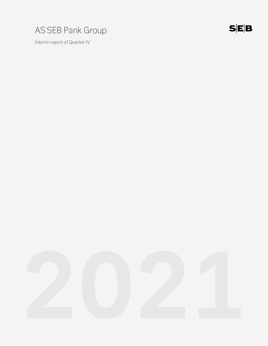

Interim report of Quarter IV

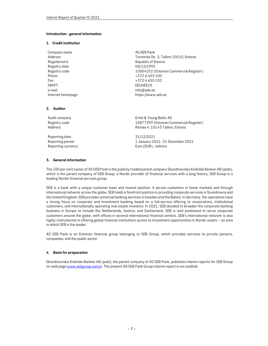### Introduction - general information

### 1. Credit institution

| Company name      | AS SEB Pank                             |
|-------------------|-----------------------------------------|
| Address           | Tornimäe Str. 2, Tallinn 15010, Estonia |
| Registered in     | Republic of Estonia                     |
| Registry date     | 08/12/1995                              |
| Registry code     | 10004252 (Estonian Commercial Register) |
| Phone             | +3726655100                             |
| Fax               | +3726655102                             |
| <b>SWIFT</b>      | EEUHEE2X                                |
| e-mail            | info@seb.ee                             |
| Internet homepage | https://www.seb.ee                      |

#### 2. Auditor

Audit company **Audit Company Ernst & Young Baltic AS** Registry code 10877299 (Estonian Commercial Register) Rävala 4, 10143 Tallinn, Estonia Reporting date 31/12/2021 Reporting period **1 January 2021-31 December 2021** Reporting currency **EUR**), millions

### 3. General information

The 100 per cent owner of AS SEB Pank is the publicly traded parent company Skandinaviska Enskilda Banken AB (publ), which is the parent company of SEB Group, a Nordic provider of financial services with a long history. SEB Group is a leading Nordic financial services group.

SEB is a bank with a unique customer base and market position, it serves customers in home markets and through international network across the globe. SEB holds a forefront position in providing corporate services in Scandinavia and the United Kingdom. SEB provides universal banking services in Sweden and the Baltics. In Germany, the operations have a strong focus on corporate and investment banking based on a full-service offering to corporations, institutional customers, and internationally operating real estate investors. In 2021, SEB decided to broaden the corporate banking business in Europe to include the Netherlands, Austria, and Switzerland. SEB is well positioned to serve corporate customers around the globe, with offices in several international financial centers. SEB's international network is also highly instrumental in offering global financial institutions access to investment opportunities in Nordic assets – an area in which SEB is the leader.

AS SEB Pank is an Estonian financial group belonging to SEB Group, which provides services to private persons, companies, and the public sector.

### 4. Basis for preparation

Skandinaviska Enskilda Banken AB (publ), the parent company of AS SEB Pank, publishes interim reports for SEB Group on web page www.sebgroup.com/ir. The present AS SEB Pank Group interim report is not audited.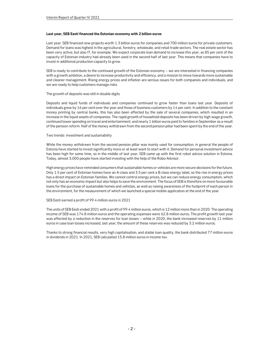### Last year, SEB Eesti financed the Estonian economy with 2 billion euros

Last year, SEB financed new projects worth 1.3 billion euros for companies and 700 million euros for private customers. Demand for loans was highest in the agricultural, forestry, wholesale, and retail trade sectors. The real estate sector has been very active, but also IT, for example. We expect corporate loan demand to increase this year, as 85 per cent of the capacity of Estonian industry had already been used in the second half of last year. This means that companies have to invest in additional production capacity to grow.

SEB is ready to contribute to the continued growth of the Estonian economy – we are interested in financing companies with a growth ambition, a desire to increase productivity and efficiency, and a mission to move towards more sustainable and cleaner management. Rising energy prices and inflation are serious issues for both companies and individuals, and we are ready to help customers manage risks.

### The growth of deposits was still in double digits

Deposits and liquid funds of individuals and companies continued to grow faster than loans last year. Deposits of individuals grew by 16 per cent over the year and those of business customers by 14 per cent. In addition to the constant money printing by central banks, this has also been affected by the sale of several companies, which resulted in an increase in the liquid assets of companies. The rapid growth of household deposits has been driven by high wage growth, continued lower spending on travel and entertainment, and nearly 1 billion euros paid to families in September as a result of the pension reform. Half of the money withdrawn from the second pension pillar had been spent by the end of the year.

#### Two trends: investment and sustainability

While the money withdrawn from the second pension pillar was mainly used for consumption, in general the people of Estonia have started to invest significantly more or at least want to start with it. Demand for personal investment advice has been high for some time, so in the middle of last year, SEB came up with the first robot advice solution in Estonia. Today, almost 3,000 people have started investing with the help of the Robo-Advisor.

High energy prices have reminded consumers that sustainable homes or vehicles are more secure decisions for the future. Only 1.5 per cent of Estonian homes have an A-class and 3.5 per cent a B-class energy label, so the rise in energy prices has a direct impact on Estonian families. We cannot control energy prices, but we can reduce energy consumption, which not only has an economic impact but also helps to save the environment. The focus of SEB is therefore on more favourable loans for the purchase of sustainable homes and vehicles, as well as raising awareness of the footprint of each person in the environment, for the measurement of which we launched a special mobile application at the end of the year.

#### SEB Eesti earned a profit of 99.4 million euros in 2021

The units of SEB Eesti ended 2021 with a profit of 99.4 million euros, which is 12 million more than in 2020. The operating income of SEB was 174.8 million euros and the operating expenses were 62.8 million euros. The profit growth last year was affected by a reduction in the reserves for loan losses – while in 2020, the bank increased reserves by 11 million euros in case loan losses increased, last year, the amount of these reserves was reduced by 3.2 million euros.

Thanks to strong financial results, very high capitalisation, and stable loan quality, the bank distributed 77 million euros in dividends in 2021. In 2021, SEB calculated 15.8 million euros in income tax.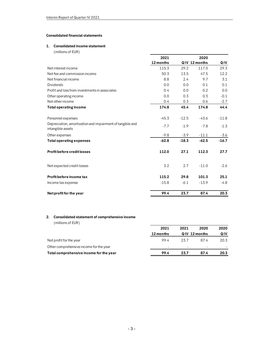# Consolidated financial statements

### 1. Consolidated income statement

| Interim Report of Quarter IV 2021                         |            |            |               |               |
|-----------------------------------------------------------|------------|------------|---------------|---------------|
|                                                           |            |            |               |               |
|                                                           |            |            |               |               |
| <b>Consolidated financial statements</b>                  |            |            |               |               |
| 1. Consolidated income statement                          |            |            |               |               |
| (millions of EUR)                                         |            |            |               |               |
|                                                           | 2021       |            | 2020          |               |
|                                                           | 12 months  |            | QIV 12 months | QIV           |
| Net interest income                                       | 115.3      | 29.2       | 117.0         | 29.3          |
| Net fee and commission income                             | 50.3       | 13.5       | 47.5          | 12.2          |
| Net financial income                                      | 8.8        | 2.4        | 9.7           | 3.1           |
| <b>Dividends</b>                                          | 0.0        | 0.0        | 0.1           | 0.1           |
| Profit and loss from investments in associates            | 0.4<br>0.0 | 0.0        | 0.2<br>0.3    | 0.0<br>$-0.1$ |
| Other operating income<br>Net other income                | 0.4        | 0.3<br>0.3 | 0.6           | $-2.7$        |
| <b>Total operating income</b>                             | 174.8      | 45.4       | 174.8         | 44.4          |
|                                                           |            |            |               |               |
| Personnel expenses                                        | $-45.3$    | $-12.5$    | $-43.6$       | $-11.8$       |
| Depreciation, amortization and impairment of tangible and |            |            |               |               |
| intangible assets                                         | $-7.7$     | $-1.9$     | $-7.8$        | $-1.3$        |
| Other expenses                                            | $-9.8$     | $-3.9$     | $-11.1$       | $-3.6$        |
| <b>Total operating expenses</b>                           | $-62.8$    | $-18.3$    | $-62.5$       | $-16.7$       |
|                                                           |            |            |               |               |
| <b>Profit before credit losses</b>                        | 112.0      | 27.1       | 112.3         | 27.7          |
|                                                           |            |            |               |               |
| Net expected credit losses                                | 3.2        | 2.7        | $-11.0$       | $-2.6$        |
|                                                           |            |            |               |               |
| Profit before income tax                                  | 115.2      | 29.8       | 101.3         | 25.1          |
| Income tax expense                                        | $-15.8$    | $-6.1$     | $-13.9$       | $-4.8$        |
|                                                           |            |            |               |               |
| Net profit for the year                                   | 99.4       | 23.7       | 87.4          | 20.3          |
|                                                           |            |            |               |               |
|                                                           |            |            |               |               |
|                                                           |            |            |               |               |
| Consolidated statement of comprehensive income<br>2.      |            |            |               |               |
| (millions of EUR)                                         |            |            |               |               |
|                                                           | 2021       | 2021       | 2020          | 2020          |
|                                                           | 12 months  |            | QIV 12 months | QIV           |
| Net profit for the year                                   | 99.4       | 23.7       | 87.4          | 20.3          |
| Other comprehensive income for the year                   |            |            |               |               |
|                                                           |            |            |               |               |

# 2. Consolidated statement of comprehensive income

| 115.2                    | 29.8                     | 101.3                    | 25.1                  |
|--------------------------|--------------------------|--------------------------|-----------------------|
| $-15.8$                  | $-6.1$                   | $-13.9$                  | $-4.8$                |
| 99.4                     | 23.7                     | 87.4                     | 20.3                  |
|                          |                          |                          |                       |
|                          |                          |                          |                       |
|                          |                          |                          |                       |
|                          |                          |                          | 2020                  |
| 12 months                |                          |                          | QIV                   |
| 99.4                     | 23.7                     | 87.4                     | 20.3                  |
| $\overline{\phantom{a}}$ | $\overline{\phantom{a}}$ | $\overline{\phantom{a}}$ |                       |
| 99.4                     | 23.7                     | 87.4                     | 20.3                  |
|                          | 2021                     | 2021                     | 2020<br>QIV 12 months |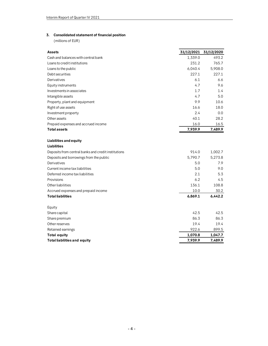# 3. Consolidated statement of financial position

| Interim Report of Quarter IV 2021                         |                       |         |
|-----------------------------------------------------------|-----------------------|---------|
|                                                           |                       |         |
|                                                           |                       |         |
| <b>Consolidated statement of financial position</b><br>3. |                       |         |
| (millions of EUR)                                         |                       |         |
|                                                           |                       |         |
| Assets                                                    | 31/12/2021 31/12/2020 |         |
| Cash and balances with central bank                       | 1,339.0               | 493.2   |
| Loans to credit institutions                              | 231.2                 | 765.7   |
| Loans to the public                                       | 6,040.4               | 5,908.0 |
| Debt securities                                           | 227.1                 | 227.1   |
| Derivatives                                               | 6.1                   | 6.6     |
| Equity instruments                                        | 4.7                   | 9.6     |
| Investments in associates                                 | 1.7                   | 1.4     |
| Intangible assets                                         | 4.7                   | 5.0     |
| Property, plant and equipment                             | 9.9                   | 10.6    |
| Right of use assets                                       | 16.6                  | 18.0    |
| Investment property                                       | 2.4                   | 0.0     |
| Other assets                                              | 40.1                  | 28.2    |
| Prepaid expenses and accrued income                       | 16.0                  | 16.5    |
| <b>Total assets</b>                                       | 7,939.9               | 7,489.9 |
| Liabilities and equity                                    |                       |         |
| <b>Liabilities</b>                                        |                       |         |
| Deposits from central banks and credit institutions       | 914.0                 | 1,002.7 |
| Deposits and borrowings from the public                   | 5,790.7               | 5,273.8 |
| Derivatives                                               | 5.0                   | 7.9     |
| Current income tax liabilities                            | 5.0                   | 9.0     |
| Deferred income tax liabilities                           | 2.1                   | 5.3     |
| Provisions                                                | 6.2                   | 4.5     |
| Other liabilities                                         | 136.1                 | 108.8   |
| Accrued expenses and prepaid income                       | 10.0                  | 30.2    |
| <b>Total liabilities</b>                                  | 6,869.1               | 6,442.2 |
| Equity                                                    |                       |         |
| Share capital                                             | 42.5                  | 42.5    |
| Share premium                                             | 86.3                  | 86.3    |
| Other reserves                                            | 19.4                  | 19.4    |
| Retained earnings                                         | 922.6                 | 899.5   |
| <b>Total equity</b>                                       | 1,070.8               | 1,047.7 |
| <b>Total liabilities and equity</b>                       | 7,939.9               | 7,489.9 |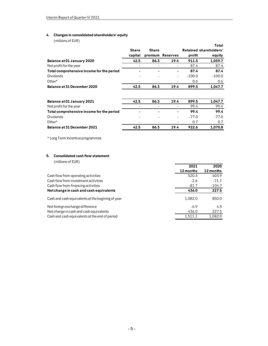# 4. Changes in consolidated shareholders' equity

| Interim Report of Quarter IV 2021                  |                          |                          |                          |                               |          |
|----------------------------------------------------|--------------------------|--------------------------|--------------------------|-------------------------------|----------|
| Changes in consolidated shareholders' equity<br>4. |                          |                          |                          |                               |          |
| (millions of EUR)                                  |                          |                          |                          |                               |          |
|                                                    |                          |                          |                          |                               | Total    |
|                                                    | <b>Share</b>             | <b>Share</b>             |                          | <b>Retained shareholders'</b> |          |
|                                                    | capital                  |                          | premium Reserves         | profit                        | equity   |
| Balance at 01 January 2020                         | 42.5                     | 86.3                     | 19.4                     | 911.5                         | 1,059.7  |
| Net profit for the year                            | $\overline{\phantom{a}}$ | $\overline{\phantom{0}}$ | $\overline{\phantom{a}}$ | 87.4                          | 87.4     |
| Total comprehensive income for the period          |                          |                          | $\blacksquare$           | 87.4                          | 87.4     |
| <b>Dividends</b>                                   |                          |                          | $\overline{a}$           | $-100.0$                      | $-100.0$ |
| Other*                                             |                          |                          |                          | 0.6                           | 0.6      |
| Balance at 31 December 2020                        | 42.5                     | 86.3                     | 19.4                     | 899.5                         | 1,047.7  |
|                                                    |                          |                          |                          |                               |          |
| Balance at 01 January 2021                         | 42.5                     | 86.3                     | 19.4                     | 899.5                         | 1,047.7  |
| Net profit for the year                            |                          | $\overline{a}$           | $\overline{a}$           | 99.4                          | 99.4     |
| Total comprehensive income for the period          |                          |                          | $\blacksquare$           | 99.4                          | 99.4     |
| <b>Dividends</b>                                   |                          |                          | $\overline{\phantom{a}}$ | $-77.0$                       | $-77.0$  |
| Other*                                             |                          |                          | $\overline{\phantom{a}}$ | 0.7                           | 0.7      |
| Balance at 31 December 2021                        | 42.5                     | 86.3                     | 19.4                     | 922.6                         | 1,070.8  |

# 5. Consolidated cash flow statement

| Total comprehensive income for the period         |      |      |      | 99.4      | 99.4      |
|---------------------------------------------------|------|------|------|-----------|-----------|
| <b>Dividends</b>                                  |      |      |      | $-77.0$   | $-77.0$   |
| Other*                                            |      |      |      | 0.7       | 0.7       |
| Balance at 31 December 2021                       | 42.5 | 86.3 | 19.4 | 922.6     | 1,070.8   |
| * Long Term Incentive programmes                  |      |      |      |           |           |
| <b>Consolidated cash flow statement</b><br>5.     |      |      |      |           |           |
| (millions of EUR)                                 |      |      |      |           |           |
|                                                   |      |      |      | 2021      | 2020      |
|                                                   |      |      |      | 12 months | 12 months |
| Cash flow from operating activities               |      |      |      | 520.3     | 403.9     |
| Cash flow from investment activities              |      |      |      | $-2.6$    | $-71.7$   |
| Cash flow from financing activities               |      |      |      | $-81.7$   | $-104.7$  |
| Net change in cash and cash equivalents           |      |      |      | 436.0     | 227.5     |
| Cash and cash equivalents at the beginnig of year |      |      |      | 1,082.0   | 850.0     |
| Net foreign exchange difference                   |      |      |      | $-6.9$    | 4.5       |
| Net change in cash and cash equivalents           |      |      |      | 436.0     | 227.5     |
| Cash and cash equivalents at the end of period    |      |      |      | 1,511.1   | 1,082.0   |